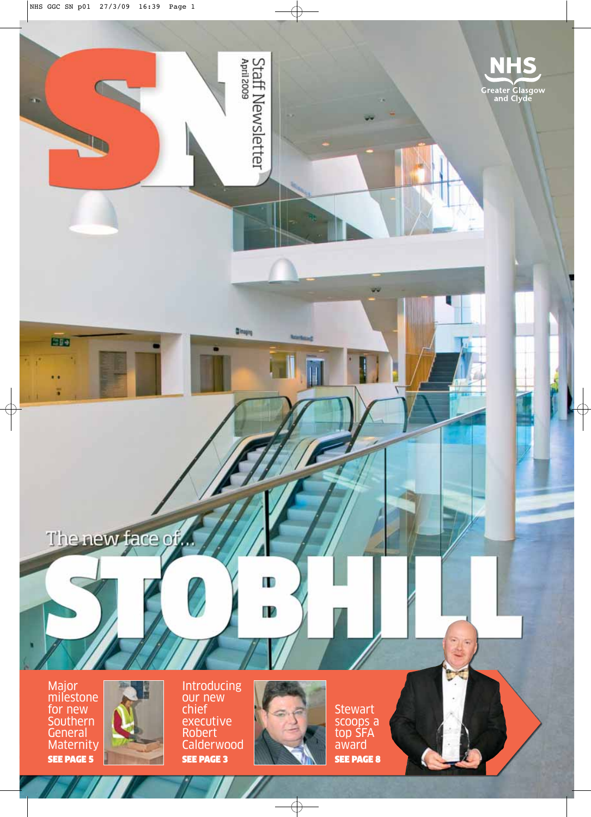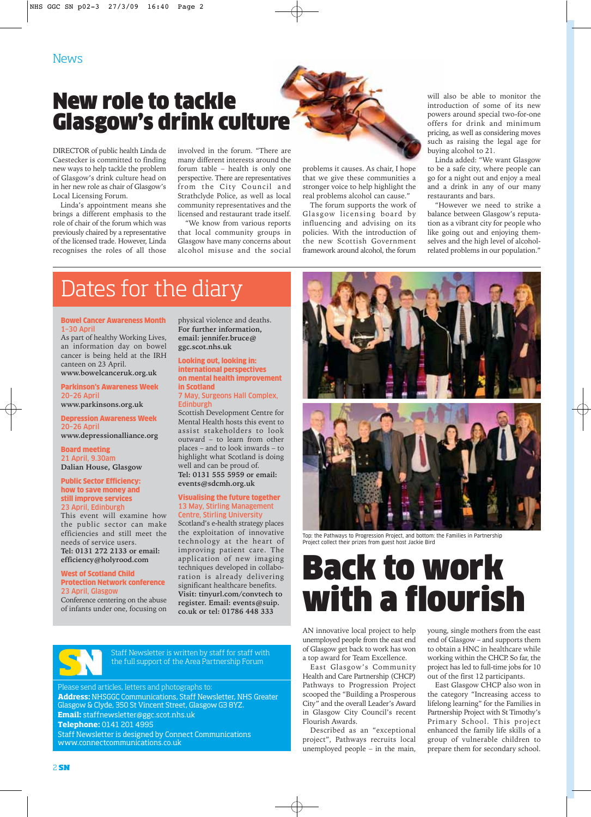### New role to tackle Glasgow's drink culture

DIRECTOR of public health Linda de Caestecker is committed to finding new ways to help tackle the problem of Glasgow's drink culture head on in her new role as chair of Glasgow's Local Licensing Forum.

Linda's appointment means she brings a different emphasis to the role of chair of the forum which was previously chaired by a representative of the licensed trade. However, Linda recognises the roles of all those

involved in the forum. "There are many different interests around the forum table – health is only one perspective. There are representatives from the City Council and Strathclyde Police, as well as local community representatives and the licensed and restaurant trade itself.

"We know from various reports that local community groups in Glasgow have many concerns about alcohol misuse and the social

problems it causes. As chair, I hope that we give these communities a stronger voice to help highlight the real problems alcohol can cause."

The forum supports the work of Glasgow licensing board by influencing and advising on its policies. With the introduction of the new Scottish Government framework around alcohol, the forum

will also be able to monitor the introduction of some of its new powers around special two-for-one offers for drink and minimum pricing, as well as considering moves such as raising the legal age for buying alcohol to 21.

Linda added: "We want Glasgow to be a safe city, where people can go for a night out and enjoy a meal and a drink in any of our many restaurants and bars.

"However we need to strike a balance between Glasgow's reputation as a vibrant city for people who like going out and enjoying themselves and the high level of alcoholrelated problems in our population."

### Dates for the diary

### Bowel Cancer Awareness Month 1–30 April

As part of healthy Working Lives, an information day on bowel cancer is being held at the IRH canteen on 23 April. **www.bowelcanceruk.org.uk**

Parkinson's Awareness Week

### 20–26 April **www.parkinsons.org.uk**

Depression Awareness Week 20–26 April **www.depressionalliance.org**

### Board meeting 21 April, 9.30am **Dalian House, Glasgow**

Public Sector Efficiency:

### how to save money and still improve services 23 April, Edinburgh

This event will examine how the public sector can make efficiencies and still meet the needs of service users. **Tel: 0131 272 2133 or email: efficiency@holyrood.com**

#### West of Scotland Child Protection Network conference 23 April, Glasgow

Conference centering on the abuse of infants under one, focusing on physical violence and deaths. **For further information, email: jennifer.bruce@ ggc.scot.nhs.uk** 

### Looking out, looking in: international perspectives on mental health improvement in Scotland

7 May, Surgeons Hall Complex, Edinburgh

Scottish Development Centre for Mental Health hosts this event to assist stakeholders to look outward – to learn from other places – and to look inwards – to highlight what Scotland is doing well and can be proud of. **Tel: 0131 555 5959 or email: events@sdcmh.org.uk**

#### Visualising the future together 13 May, Stirling Management Centre, Stirling University

Scotland's e-health strategy places the exploitation of innovative technology at the heart of improving patient care. The application of new imaging techniques developed in collaboration is already delivering significant healthcare benefits. **Visit: tinyurl.com/convtech to register. Email: events@suip. co.uk or tel: 01786 448 333**



Staff Newsletter is written by staff for staff with the full support of the Area Partnership Forum

Please send articles, letters and photographs to:

**Address:** NHSGGC Communications, Staff Newsletter, NHS Greater Glasgow & Clyde, 350 St Vincent Street, Glasgow G3 8YZ. **Email:** staffnewsletter@ggc.scot.nhs.uk **Telephone:** 0141 201 4995

Staff Newsletter is designed by Connect Communications www.connectcommunications.co.uk



Top: the Pathways to Progression Project, and bottom: the Families in Partnership Project collect their prizes from guest host Jackie Bird

# Back to work with a flourish

AN innovative local project to help unemployed people from the east end of Glasgow get back to work has won a top award for Team Excellence.

East Glasgow's Community Health and Care Partnership (CHCP) Pathways to Progression Project scooped the "Building a Prosperous City" and the overall Leader's Award in Glasgow City Council's recent Flourish Awards.

Described as an "exceptional project", Pathways recruits local unemployed people – in the main, young, single mothers from the east end of Glasgow – and supports them to obtain a HNC in healthcare while working within the CHCP. So far, the project has led to full-time jobs for 10 out of the first 12 participants.

East Glasgow CHCP also won in the category "Increasing access to lifelong learning" for the Families in Partnership Project with St Timothy's Primary School. This project enhanced the family life skills of a group of vulnerable children to prepare them for secondary school.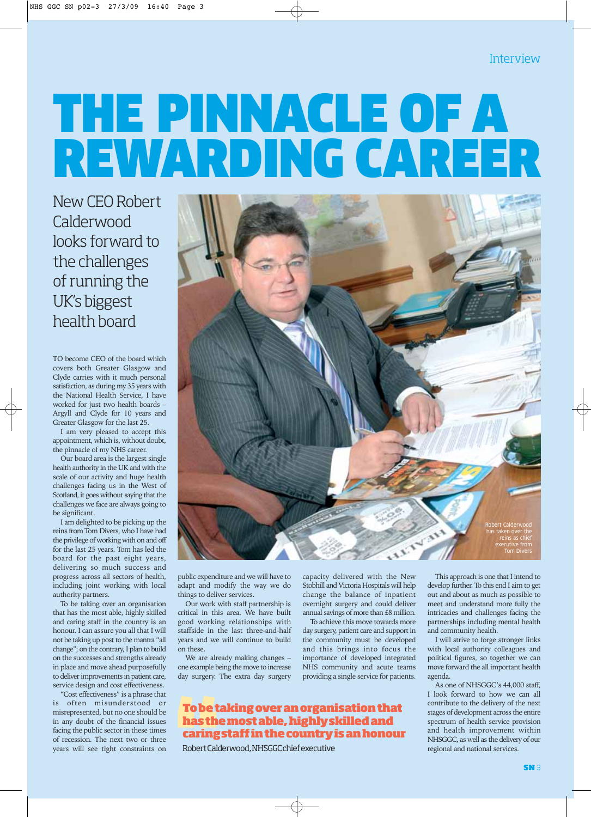# THE PINNACLE OF A REWARDING CAREER

New CEO Robert Calderwood looks forward to the challenges of running the UK's biggest health board

TO become CEO of the board which covers both Greater Glasgow and Clyde carries with it much personal satisfaction, as during my 35 years with the National Health Service, I have worked for just two health boards – Argyll and Clyde for 10 years and Greater Glasgow for the last 25.

I am very pleased to accept this appointment, which is, without doubt, the pinnacle of my NHS career.

Our board area is the largest single health authority in the UK and with the scale of our activity and huge health challenges facing us in the West of Scotland, it goes without saying that the challenges we face are always going to be significant.

I am delighted to be picking up the reins from Tom Divers, who I have had the privilege of working with on and off for the last 25 years. Tom has led the board for the past eight years, delivering so much success and progress across all sectors of health, including joint working with local authority partners.

To be taking over an organisation that has the most able, highly skilled and caring staff in the country is an honour. I can assure you all that I will not be taking up post to the mantra "all change"; on the contrary, I plan to build on the successes and strengths already in place and move ahead purposefully to deliver improvements in patient care, service design and cost effectiveness.

"Cost effectiveness" is a phrase that is often misunderstood or misrepresented, but no one should be in any doubt of the financial issues facing the public sector in these times of recession. The next two or three years will see tight constraints on



public expenditure and we will have to adapt and modify the way we do things to deliver services.

Our work with staff partnership is critical in this area. We have built good working relationships with staffside in the last three-and-half years and we will continue to build on these.

We are already making changes – one example being the move to increase day surgery. The extra day surgery capacity delivered with the New Stobhill and Victoria Hospitals will help change the balance of inpatient overnight surgery and could deliver annual savings of more than £8 million.

To achieve this move towards more day surgery, patient care and support in the community must be developed and this brings into focus the importance of developed integrated NHS community and acute teams providing a single service for patients.

### **To be taking over an organisation that has the most able, highly skilled and caring staff in the country is an honour**

Robert Calderwood, NHSGGC chief executive

This approach is one that I intend to develop further. To this end I aim to get out and about as much as possible to meet and understand more fully the intricacies and challenges facing the partnerships including mental health and community health.

I will strive to forge stronger links with local authority colleagues and political figures, so together we can move forward the all important health agenda.

As one of NHSGGC's 44,000 staff, I look forward to how we can all contribute to the delivery of the next stages of development across the entire spectrum of health service provision and health improvement within NHSGGC, as well as the delivery of our regional and national services.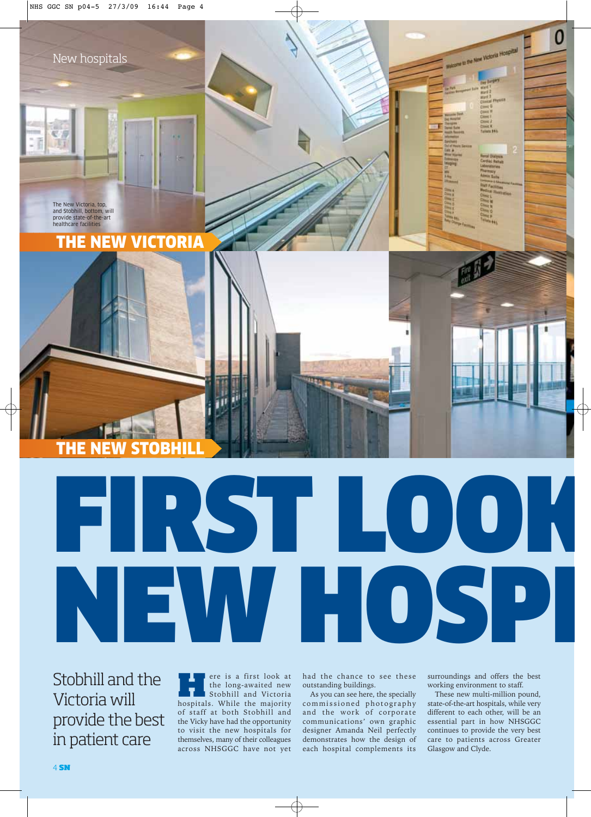New hospitals

The New Victoria, top, and Stobhill, bottom, will provide state-of-the-art healthcare facilities

**THE NEW** 

THE NEW VICTORIA

Stobhill and the Victoria will provide the best in patient care

**Here** is a first look at<br>the long-awaited new<br>stobhill and Victoria<br>hospitals. While the majority the long-awaited new hospitals. While the majority of staff at both Stobhill and the Vicky have had the opportunity to visit the new hospitals for themselves, many of their colleagues across NHSGGC have not yet

had the chance to see these outstanding buildings.

FIRST LOOK<br>NEW HOSP

As you can see here, the specially commissioned photography and the work of corporate communications' own graphic designer Amanda Neil perfectly demonstrates how the design of each hospital complements its surroundings and offers the best working environment to staff.

0

come su the New Victoria Hospital

NEW HOSPI

These new multi-million pound, state-of-the-art hospitals, while very different to each other, will be an essential part in how NHSGGC continues to provide the very best care to patients across Greater Glasgow and Clyde.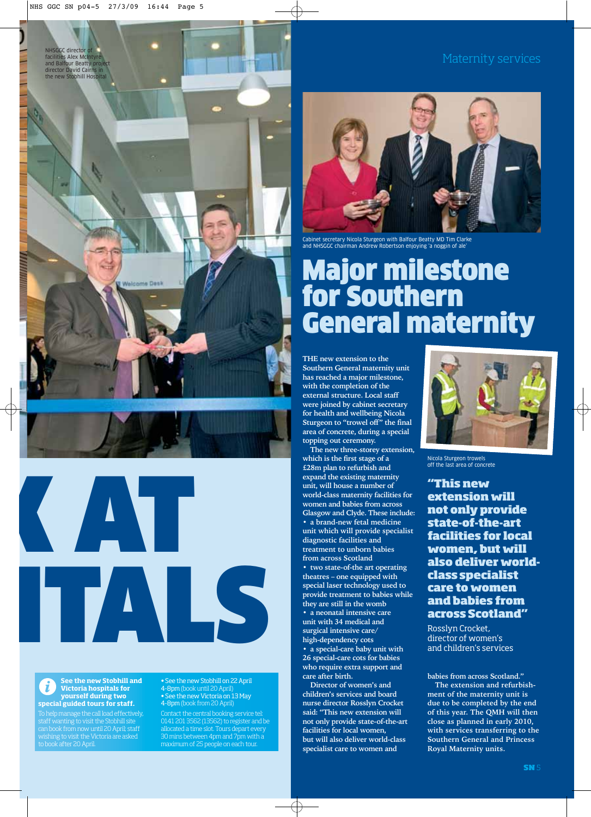NHSGGC director of facilities Alex McIntyre and Balfour Beatty project director David Cairns in the new Stobhill Hospital







#### **See the new Stobhill and Victoria hospitals for yourself during two special guided tours for staff.**

To help manage the call load effectively, staff wanting to visit the Stobhill site can book from now until 20 April; staff wishing to visit the Victoria are asked to book after 20 April.

• See the new Stobhill on 22 April 4-8pm (book until 20 April) • See the new Victoria on 13 May 4-8pm (book from 20 April)

Contact the central booking service tel: 0141 201 3562 (13562) to register and be allocated a time slot. Tours depart every 30 mins between 4pm and 7pm with a maximum of 25 people on each tour.



Cabinet secretary Nicola Sturgeon with Balfour Beatty MD Tim Clarke and NHSGGC chairman Andrew Robertson enjoying 'a noggin of ale'

# Major milestone for Southern General maternity

**THE new extension to the Southern General maternity unit has reached a major milestone, with the completion of the external structure. Local staff were joined by cabinet secretary for health and wellbeing Nicola Sturgeon to "trowel off" the final area of concrete, during a special topping out ceremony.**

**The new three-storey extension, which is the first stage of a £28m plan to refurbish and expand the existing maternity unit, will house a number of world-class maternity facilities for women and babies from across Glasgow and Clyde. These include: • a brand-new fetal medicine unit which will provide specialist diagnostic facilities and treatment to unborn babies from across Scotland • two state-of-the art operating theatres – one equipped with special laser technology used to provide treatment to babies while they are still in the womb • a neonatal intensive care unit with 34 medical and surgical intensive care/ high-dependency cots • a special-care baby unit with 26 special-care cots for babies who require extra support and care after birth.** 

**Director of women's and children's services and board nurse director Rosslyn Crocket said: "This new extension will not only provide state-of-the-art facilities for local women, but will also deliver world-class specialist care to women and**



Nicola Sturgeon trowels off the last area of concrete

**"This new extension will not only provide state-of-the-art facilities for local women, but will also deliver worldclass specialist care to women and babies from across Scotland"**

Rosslyn Crocket, director of women's and children's services

**babies from across Scotland."**

**The extension and refurbishment of the maternity unit is due to be completed by the end of this year. The QMH will then close as planned in early 2010, with services transferring to the Southern General and Princess Royal Maternity units.**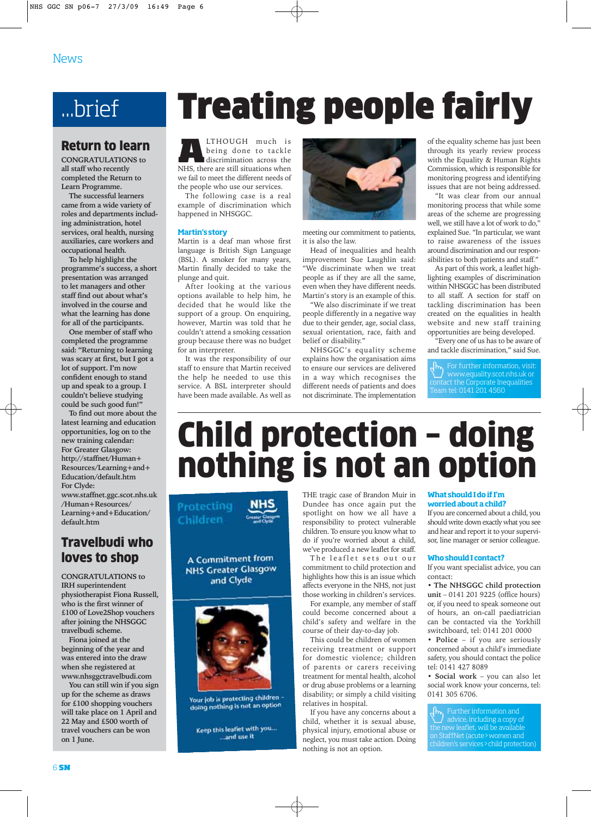## ...brief

### Return to learn

**CONGRATULATIONS to all staff who recently completed the Return to Learn Programme.** 

**The successful learners came from a wide variety of roles and departments including administration, hotel services, oral health, nursing auxiliaries, care workers and occupational health.** 

**To help highlight the programme's success, a short presentation was arranged to let managers and other staff find out about what's involved in the course and what the learning has done for all of the participants.** 

**One member of staff who completed the programme said: "Returning to learning was scary at first, but I got a lot of support. I'm now confident enough to stand up and speak to a group. I couldn't believe studying could be such good fun!"** 

**To find out more about the latest learning and education opportunities, log on to the new training calendar: For Greater Glasgow: http://staffnet/Human+ Resources/Learning+and+ Education/default.htm For Clyde: www.staffnet.ggc.scot.nhs.uk /Human+Resources/ Learning+and+Education/ default.htm** 

### Travelbudi who loves to shop

**CONGRATULATIONS to IRH superintendent physiotherapist Fiona Russell, who is the first winner of £100 of Love2Shop vouchers after joining the NHSGGC travelbudi scheme.**

**Fiona joined at the beginning of the year and was entered into the draw when she registered at www.nhsggctravelbudi.com**

**You can still win if you sign up for the scheme as draws for £100 shopping vouchers will take place on 1 April and 22 May and £500 worth of travel vouchers can be won on 1 June.**

# Treating people fairly

**A**LTHOUGH much is being done to tackle discrimination across the NHS, there are still situations when we fail to meet the different needs of the people who use our services.

The following case is a real example of discrimination which happened in NHSGGC.

### **Martin's story**

Martin is a deaf man whose first language is British Sign Language (BSL). A smoker for many years, Martin finally decided to take the plunge and quit.

After looking at the various options available to help him, he decided that he would like the support of a group. On enquiring, however, Martin was told that he couldn't attend a smoking cessation group because there was no budget for an interpreter.

It was the responsibility of our staff to ensure that Martin received the help he needed to use this service. A BSL interpreter should have been made available. As well as



meeting our commitment to patients, it is also the law.

Head of inequalities and health improvement Sue Laughlin said: "We discriminate when we treat people as if they are all the same, even when they have different needs. Martin's story is an example of this.

"We also discriminate if we treat people differently in a negative way due to their gender, age, social class, sexual orientation, race, faith and belief or disability."

NHSGGC's equality scheme explains how the organisation aims to ensure our services are delivered in a way which recognises the different needs of patients and does not discriminate. The implementation of the equality scheme has just been through its yearly review process with the Equality & Human Rights Commission, which is responsible for monitoring progress and identifying issues that are not being addressed.

"It was clear from our annual monitoring process that while some areas of the scheme are progressing well, we still have a lot of work to do," explained Sue. "In particular, we want to raise awareness of the issues around discrimination and our responsibilities to both patients and staff."

As part of this work, a leaflet highlighting examples of discrimination within NHSGGC has been distributed to all staff. A section for staff on tackling discrimination has been created on the equalities in health website and new staff training opportunities are being developed.

"Every one of us has to be aware of and tackle discrimination," said Sue.

For further information, visit: www.equality.scot.nhs.uk or contact the Corporate Inequalities Team tel: 0141 201 4560

# Child protection – doing nothing is not an option

Protecting **NHS** Children

A Commitment from **NHS Greater Glasgow** and Clyde



Your job is protecting children doing nothing is not an option

Keep this leaflet with you... ...and use it

THE tragic case of Brandon Muir in Dundee has once again put the spotlight on how we all have a responsibility to protect vulnerable children. To ensure you know what to do if you're worried about a child, we've produced a new leaflet for staff.

The leaflet sets out our commitment to child protection and highlights how this is an issue which affects everyone in the NHS, not just those working in children's services.

For example, any member of staff could become concerned about a child's safety and welfare in the course of their day-to-day job.

This could be children of women receiving treatment or support for domestic violence; children of parents or carers receiving treatment for mental health, alcohol or drug abuse problems or a learning disability; or simply a child visiting relatives in hospital.

If you have any concerns about a child, whether it is sexual abuse, physical injury, emotional abuse or neglect, you must take action. Doing nothing is not an option.

### **What should I do if I'm worried about a child?**

If you are concerned about a child, you should write down exactly what you see and hear and report it to your supervisor, line manager or senior colleague.

### **Who should I contact?**

If you want specialist advice, you can contact:

• **The NHSGGC child protection unit** – 0141 201 9225 (office hours) or, if you need to speak someone out of hours, an on-call paediatrician can be contacted via the Yorkhill switchboard, tel: 0141 201 0000

• **Police** – if you are seriously concerned about a child's immediate safety, you should contact the police tel: 0141 427 8089

• **Social work** – you can also let social work know your concerns, tel: 0141 305 6706.

Further information and advice, including a copy of the new leaflet, will be available on StaffNet (acute>women and children's services>child protection)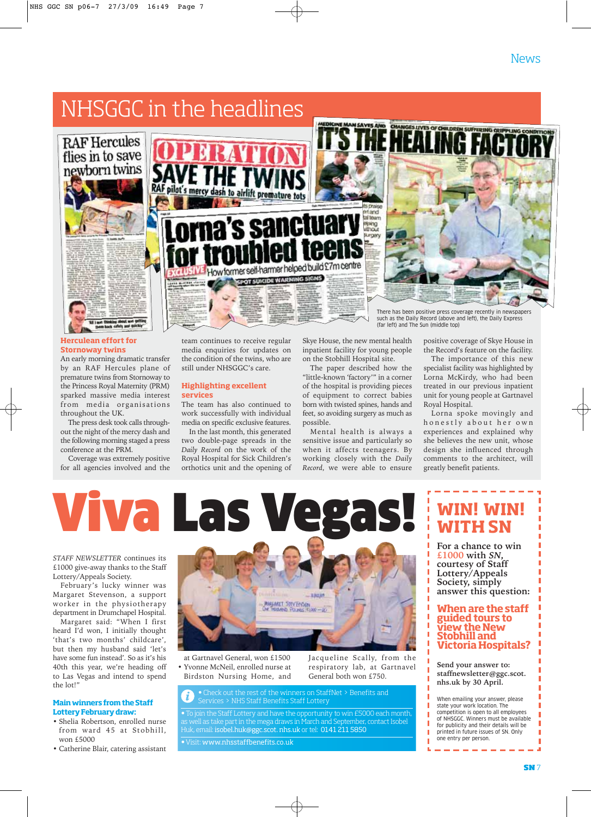### NHSGGC in the headlines



### **Herculean effort for Stornoway twins**

An early morning dramatic transfer by an RAF Hercules plane of premature twins from Stornoway to the Princess Royal Maternity (PRM) sparked massive media interest from media organisations throughout the UK.

The press desk took calls throughout the night of the mercy dash and the following morning staged a press conference at the PRM.

Coverage was extremely positive for all agencies involved and the



team continues to receive regular media enquiries for updates on the condition of the twins, who are still under NHSGGC's care.

### **Highlighting excellent services**

The team has also continued to work successfully with individual media on specific exclusive features.

In the last month, this generated two double-page spreads in the *Daily Record* on the work of the Royal Hospital for Sick Children's orthotics unit and the opening of

Skye House, the new mental health inpatient facility for young people on the Stobhill Hospital site.

The paper described how the "little-known 'factory'" in a corner of the hospital is providing pieces of equipment to correct babies born with twisted spines, hands and feet, so avoiding surgery as much as possible.

Mental health is always a sensitive issue and particularly so when it affects teenagers. By working closely with the *Daily Record*, we were able to ensure



There has been positive press coverage recently in newspapers such as the Daily Record (above and left), the Daily Express (far left) and The Sun (middle top)

positive coverage of Skye House in the Record's feature on the facility.

The importance of this new specialist facility was highlighted by Lorna McKirdy, who had been treated in our previous inpatient unit for young people at Gartnavel Royal Hospital.

Lorna spoke movingly and honestly about her own experiences and explained why she believes the new unit, whose design she influenced through comments to the architect, will greatly benefit patients.

# Viva Las Vegas! **WIN! WIN!**

*STAFF NEWSLETTER* continues its £1000 give-away thanks to the Staff Lottery/Appeals Society.

February's lucky winner was Margaret Stevenson, a support worker in the physiotherapy department in Drumchapel Hospital.

Margaret said: "When I first heard I'd won, I initially thought 'that's two months' childcare', but then my husband said 'let's have some fun instead'. So as it's his 40th this year, we're heading off to Las Vegas and intend to spend the lot!"

### **Main winners from the Staff Lottery February draw:**

• Shelia Robertson, enrolled nurse from ward 45 at Stobhill, won £5000

• Catherine Blair, catering assistant



at Gartnavel General, won £1500 • Yvonne McNeil, enrolled nurse at Birdston Nursing Home, and Jacqueline Scally, from the respiratory lab, at Gartnavel General both won £750.

• Check out the rest of the winners on StaffNet > Benefits and Services > NHS Staff Benefits Staff Lottery

join the Staff Lottery and have the opportunity to win £5000 each month ell as take part in the mega draws in March and September, contact Isobel Huk, email: isobel.huk@ggc.scot. nhs.uk or tel: 0141 211 5850

### •Visit: www.nhsstaffbenefits.co.uk

# **WITH SN**

For a chance to win £1000 with *SN*, **£1000 with** *SN***, courtesy of Staff Lottery/Appeals Society, simply answer this question:**

### **When are the staff guided tours to view the New Stobhill and Victoria Hospitals?**

**Send your answer to: staffnewsletter@ggc.scot. nhs.uk by 30 April.**

When emailing your answer, please state your work location. The competition is open to all employees of NHSGGC. Winners must be available for publicity and their details will be printed in future issues of SN. Only one entry per person.